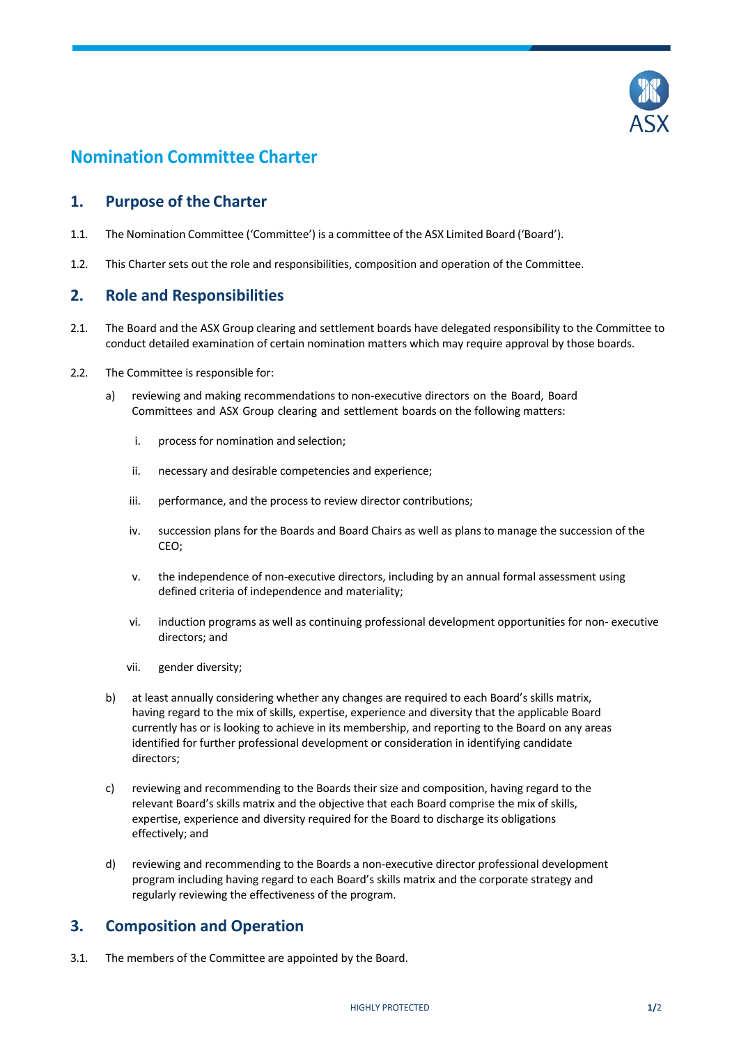

# **Nomination Committee Charter**

### **1. Purpose of the Charter**

- 1.1. The Nomination Committee ('Committee') is a committee of the ASX Limited Board ('Board').
- 1.2. This Charter sets out the role and responsibilities, composition and operation of the Committee.

#### **2. Role and Responsibilities**

- 2.1. The Board and the ASX Group clearing and settlement boards have delegated responsibility to the Committee to conduct detailed examination of certain nomination matters which may require approval by those boards.
- 2.2. The Committee is responsible for:
	- a) reviewing and making recommendations to non-executive directors on the Board, Board Committees and ASX Group clearing and settlement boards on the following matters:
		- i. process for nomination and selection;
		- ii. necessary and desirable competencies and experience;
		- iii. performance, and the process to review director contributions;
		- iv. succession plans for the Boards and Board Chairs as well as plans to manage the succession of the CEO;
		- v. the independence of non-executive directors, including by an annual formal assessment using defined criteria of independence and materiality;
		- vi. induction programs as well as continuing professional development opportunities for non- executive directors; and
		- vii. gender diversity;
	- b) at least annually considering whether any changes are required to each Board's skills matrix, having regard to the mix of skills, expertise, experience and diversity that the applicable Board currently has or is looking to achieve in its membership, and reporting to the Board on any areas identified for further professional development or consideration in identifying candidate directors;
	- c) reviewing and recommending to the Boards their size and composition, having regard to the relevant Board's skills matrix and the objective that each Board comprise the mix of skills, expertise, experience and diversity required for the Board to discharge its obligations effectively; and
	- d) reviewing and recommending to the Boards a non-executive director professional development program including having regard to each Board's skills matrix and the corporate strategy and regularly reviewing the effectiveness of the program.

## **3. Composition and Operation**

3.1. The members of the Committee are appointed by the Board.